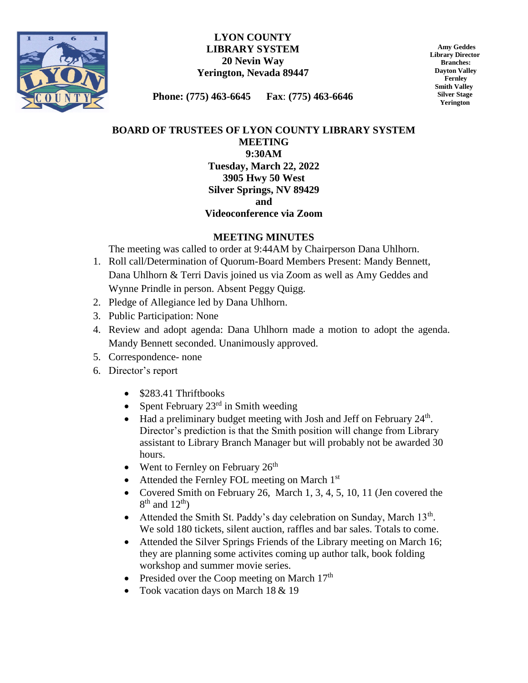

#### **LYON COUNTY LIBRARY SYSTEM 20 Nevin Way Yerington, Nevada 89447**

 **Amy Geddes Library Director Branches: Dayton Valley Fernley Smith Valley Silver Stage Yerington**

**Phone: (775) 463-6645 Fax**: **(775) 463-6646**

# **BOARD OF TRUSTEES OF LYON COUNTY LIBRARY SYSTEM MEETING 9:30AM Tuesday, March 22, 2022 3905 Hwy 50 West Silver Springs, NV 89429 and**

#### **Videoconference via Zoom**

## **MEETING MINUTES**

The meeting was called to order at 9:44AM by Chairperson Dana Uhlhorn.

- 1. Roll call/Determination of Quorum-Board Members Present: Mandy Bennett, Dana Uhlhorn & Terri Davis joined us via Zoom as well as Amy Geddes and Wynne Prindle in person. Absent Peggy Quigg.
- 2. Pledge of Allegiance led by Dana Uhlhorn.
- 3. Public Participation: None
- 4. Review and adopt agenda: Dana Uhlhorn made a motion to adopt the agenda. Mandy Bennett seconded. Unanimously approved.
- 5. Correspondence- none
- 6. Director's report
	- \$283.41 Thriftbooks
	- Spent February  $23<sup>rd</sup>$  in Smith weeding
	- $\bullet$  Had a preliminary budget meeting with Josh and Jeff on February 24<sup>th</sup>. Director's prediction is that the Smith position will change from Library assistant to Library Branch Manager but will probably not be awarded 30 hours.
	- Went to Fernley on February  $26<sup>th</sup>$
	- Attended the Fernley FOL meeting on March 1st
	- Covered Smith on February 26, March 1, 3, 4, 5, 10, 11 (Jen covered the  $8<sup>th</sup>$  and  $12<sup>th</sup>$ )
	- Attended the Smith St. Paddy's day celebration on Sunday, March 13<sup>th</sup>. We sold 180 tickets, silent auction, raffles and bar sales. Totals to come.
	- Attended the Silver Springs Friends of the Library meeting on March 16; they are planning some activites coming up author talk, book folding workshop and summer movie series.
	- Presided over the Coop meeting on March  $17<sup>th</sup>$
	- Took vacation days on March 18 & 19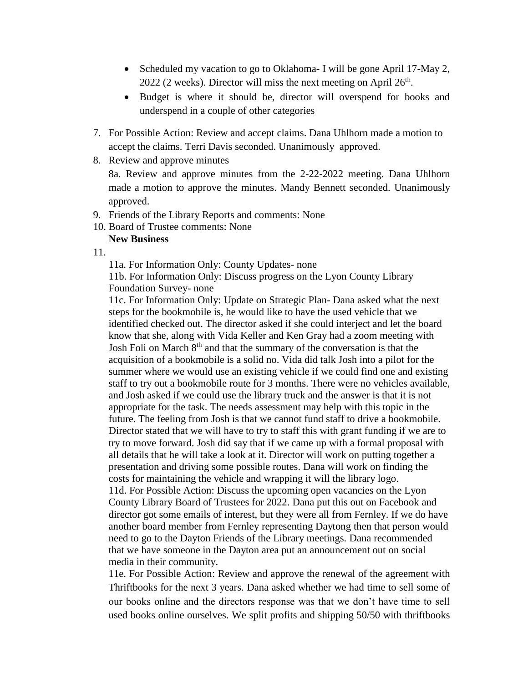- Scheduled my vacation to go to Oklahoma- I will be gone April 17-May 2, 2022 (2 weeks). Director will miss the next meeting on April  $26<sup>th</sup>$ .
- Budget is where it should be, director will overspend for books and underspend in a couple of other categories
- 7. For Possible Action: Review and accept claims. Dana Uhlhorn made a motion to accept the claims. Terri Davis seconded. Unanimously approved.
- 8. Review and approve minutes

8a. Review and approve minutes from the 2-22-2022 meeting. Dana Uhlhorn made a motion to approve the minutes. Mandy Bennett seconded. Unanimously approved.

- 9. Friends of the Library Reports and comments: None
- 10. Board of Trustee comments: None

### **New Business**

11.

11a. For Information Only: County Updates- none

11b. For Information Only: Discuss progress on the Lyon County Library Foundation Survey- none

11c. For Information Only: Update on Strategic Plan- Dana asked what the next steps for the bookmobile is, he would like to have the used vehicle that we identified checked out. The director asked if she could interject and let the board know that she, along with Vida Keller and Ken Gray had a zoom meeting with Josh Foli on March  $8<sup>th</sup>$  and that the summary of the conversation is that the acquisition of a bookmobile is a solid no. Vida did talk Josh into a pilot for the summer where we would use an existing vehicle if we could find one and existing staff to try out a bookmobile route for 3 months. There were no vehicles available, and Josh asked if we could use the library truck and the answer is that it is not appropriate for the task. The needs assessment may help with this topic in the future. The feeling from Josh is that we cannot fund staff to drive a bookmobile. Director stated that we will have to try to staff this with grant funding if we are to try to move forward. Josh did say that if we came up with a formal proposal with all details that he will take a look at it. Director will work on putting together a presentation and driving some possible routes. Dana will work on finding the costs for maintaining the vehicle and wrapping it will the library logo.

11d. For Possible Action: Discuss the upcoming open vacancies on the Lyon County Library Board of Trustees for 2022. Dana put this out on Facebook and director got some emails of interest, but they were all from Fernley. If we do have another board member from Fernley representing Daytong then that person would need to go to the Dayton Friends of the Library meetings. Dana recommended that we have someone in the Dayton area put an announcement out on social media in their community.

11e. For Possible Action: Review and approve the renewal of the agreement with Thriftbooks for the next 3 years. Dana asked whether we had time to sell some of our books online and the directors response was that we don't have time to sell used books online ourselves. We split profits and shipping 50/50 with thriftbooks